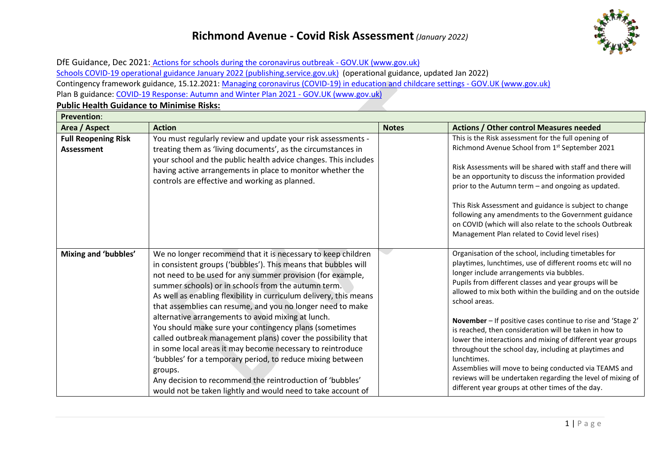## **Richmond Avenue - Covid Risk Assessment***(January 2022)*



DfE Guidance, Dec 2021: [Actions for schools during the coronavirus outbreak -](https://www.gov.uk/government/publications/actions-for-schools-during-the-coronavirus-outbreak) GOV.UK (www.gov.uk) [Schools COVID-19 operational guidance January 2022 \(publishing.service.gov.uk\)](https://assets.publishing.service.gov.uk/government/uploads/system/uploads/attachment_data/file/1044890/Schools_guidance_January_2022_.pdf) (operational guidance, updated Jan 2022) Contingency framework guidance, 15.12.2021: [Managing coronavirus \(COVID-19\) in education and childcare settings -](https://www.gov.uk/government/publications/coronavirus-covid-19-local-restrictions-in-education-and-childcare-settings) GOV.UK (www.gov.uk) Plan B guidance: [COVID-19 Response: Autumn and Winter Plan 2021 -](https://www.gov.uk/government/publications/covid-19-response-autumn-and-winter-plan-2021?utm_source=7%20December%202021%20C19&utm_medium=Daily%20Email%20C19&utm_campaign=DfE%20C19) GOV.UK (www.gov.uk)

**Public Health Guidance to Minimise Risks:** 

| <b>Prevention:</b>                              |                                                                                                                                                                                                                                                                                                                                                                                                                                                                                                                                                                                                                                                                                                                                                                                                                                             |              |                                                                                                                                                                                                                                                                                                                                                                                                                                                                                                                                                                                                                                                                                                                                                  |  |
|-------------------------------------------------|---------------------------------------------------------------------------------------------------------------------------------------------------------------------------------------------------------------------------------------------------------------------------------------------------------------------------------------------------------------------------------------------------------------------------------------------------------------------------------------------------------------------------------------------------------------------------------------------------------------------------------------------------------------------------------------------------------------------------------------------------------------------------------------------------------------------------------------------|--------------|--------------------------------------------------------------------------------------------------------------------------------------------------------------------------------------------------------------------------------------------------------------------------------------------------------------------------------------------------------------------------------------------------------------------------------------------------------------------------------------------------------------------------------------------------------------------------------------------------------------------------------------------------------------------------------------------------------------------------------------------------|--|
| Area / Aspect                                   | <b>Action</b>                                                                                                                                                                                                                                                                                                                                                                                                                                                                                                                                                                                                                                                                                                                                                                                                                               | <b>Notes</b> | <b>Actions / Other control Measures needed</b>                                                                                                                                                                                                                                                                                                                                                                                                                                                                                                                                                                                                                                                                                                   |  |
| <b>Full Reopening Risk</b><br><b>Assessment</b> | You must regularly review and update your risk assessments -<br>treating them as 'living documents', as the circumstances in<br>your school and the public health advice changes. This includes<br>having active arrangements in place to monitor whether the<br>controls are effective and working as planned.                                                                                                                                                                                                                                                                                                                                                                                                                                                                                                                             |              | This is the Risk assessment for the full opening of<br>Richmond Avenue School from 1st September 2021<br>Risk Assessments will be shared with staff and there will<br>be an opportunity to discuss the information provided<br>prior to the Autumn term - and ongoing as updated.<br>This Risk Assessment and guidance is subject to change<br>following any amendments to the Government guidance<br>on COVID (which will also relate to the schools Outbreak<br>Management Plan related to Covid level rises)                                                                                                                                                                                                                                  |  |
| Mixing and 'bubbles'                            | We no longer recommend that it is necessary to keep children<br>in consistent groups ('bubbles'). This means that bubbles will<br>not need to be used for any summer provision (for example,<br>summer schools) or in schools from the autumn term.<br>As well as enabling flexibility in curriculum delivery, this means<br>that assemblies can resume, and you no longer need to make<br>alternative arrangements to avoid mixing at lunch.<br>You should make sure your contingency plans (sometimes<br>called outbreak management plans) cover the possibility that<br>in some local areas it may become necessary to reintroduce<br>'bubbles' for a temporary period, to reduce mixing between<br>groups.<br>Any decision to recommend the reintroduction of 'bubbles'<br>would not be taken lightly and would need to take account of |              | Organisation of the school, including timetables for<br>playtimes, lunchtimes, use of different rooms etc will no<br>longer include arrangements via bubbles.<br>Pupils from different classes and year groups will be<br>allowed to mix both within the building and on the outside<br>school areas.<br>November - If positive cases continue to rise and 'Stage 2'<br>is reached, then consideration will be taken in how to<br>lower the interactions and mixing of different year groups<br>throughout the school day, including at playtimes and<br>lunchtimes.<br>Assemblies will move to being conducted via TEAMS and<br>reviews will be undertaken regarding the level of mixing of<br>different year groups at other times of the day. |  |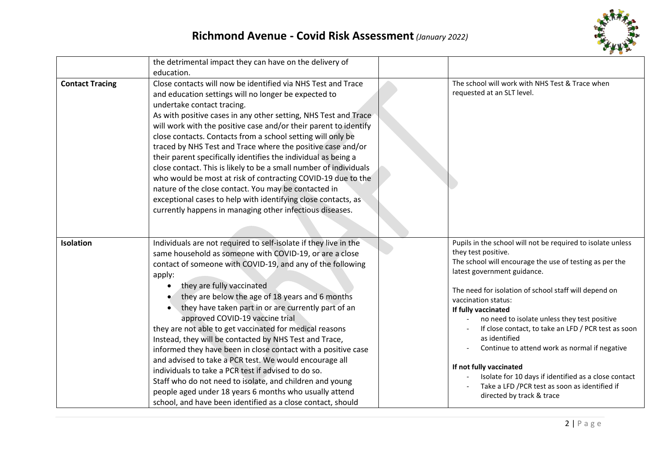

|                        | the detrimental impact they can have on the delivery of<br>education.                                                                                                                                                                                                                                                                                                                                                                                                                                                                                                                                                                                                                                                                                                                                                                                                                  |                                                                                                                                                                                                                                                                                                                                                                                                                                                                                                                                                                                                                               |
|------------------------|----------------------------------------------------------------------------------------------------------------------------------------------------------------------------------------------------------------------------------------------------------------------------------------------------------------------------------------------------------------------------------------------------------------------------------------------------------------------------------------------------------------------------------------------------------------------------------------------------------------------------------------------------------------------------------------------------------------------------------------------------------------------------------------------------------------------------------------------------------------------------------------|-------------------------------------------------------------------------------------------------------------------------------------------------------------------------------------------------------------------------------------------------------------------------------------------------------------------------------------------------------------------------------------------------------------------------------------------------------------------------------------------------------------------------------------------------------------------------------------------------------------------------------|
| <b>Contact Tracing</b> | Close contacts will now be identified via NHS Test and Trace<br>and education settings will no longer be expected to<br>undertake contact tracing.<br>As with positive cases in any other setting, NHS Test and Trace<br>will work with the positive case and/or their parent to identify<br>close contacts. Contacts from a school setting will only be<br>traced by NHS Test and Trace where the positive case and/or<br>their parent specifically identifies the individual as being a<br>close contact. This is likely to be a small number of individuals<br>who would be most at risk of contracting COVID-19 due to the<br>nature of the close contact. You may be contacted in<br>exceptional cases to help with identifying close contacts, as<br>currently happens in managing other infectious diseases.                                                                    | The school will work with NHS Test & Trace when<br>requested at an SLT level.                                                                                                                                                                                                                                                                                                                                                                                                                                                                                                                                                 |
| Isolation              | Individuals are not required to self-isolate if they live in the<br>same household as someone with COVID-19, or are a close<br>contact of someone with COVID-19, and any of the following<br>apply:<br>they are fully vaccinated<br>$\bullet$<br>they are below the age of 18 years and 6 months<br>they have taken part in or are currently part of an<br>approved COVID-19 vaccine trial<br>they are not able to get vaccinated for medical reasons<br>Instead, they will be contacted by NHS Test and Trace,<br>informed they have been in close contact with a positive case<br>and advised to take a PCR test. We would encourage all<br>individuals to take a PCR test if advised to do so.<br>Staff who do not need to isolate, and children and young<br>people aged under 18 years 6 months who usually attend<br>school, and have been identified as a close contact, should | Pupils in the school will not be required to isolate unless<br>they test positive.<br>The school will encourage the use of testing as per the<br>latest government guidance.<br>The need for isolation of school staff will depend on<br>vaccination status:<br>If fully vaccinated<br>no need to isolate unless they test positive<br>If close contact, to take an LFD / PCR test as soon<br>as identified<br>Continue to attend work as normal if negative<br>If not fully vaccinated<br>Isolate for 10 days if identified as a close contact<br>Take a LFD /PCR test as soon as identified if<br>directed by track & trace |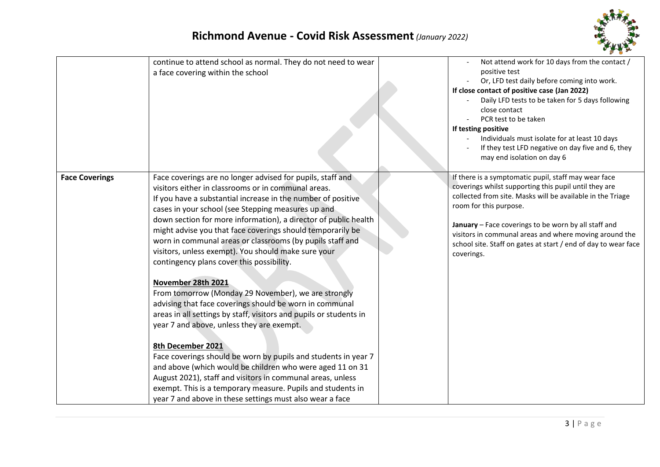

|                       | continue to attend school as normal. They do not need to wear<br>a face covering within the school                                                                                                                                                                                                                                                                                                                                                                                                                                                                                                                                                                                                                                                                                                                                                                                                                                                                                                                                                                                                                                                | Not attend work for 10 days from the contact /<br>positive test<br>Or, LFD test daily before coming into work.<br>If close contact of positive case (Jan 2022)<br>Daily LFD tests to be taken for 5 days following<br>close contact<br>PCR test to be taken<br>If testing positive<br>Individuals must isolate for at least 10 days<br>If they test LFD negative on day five and 6, they<br>may end isolation on day 6 |
|-----------------------|---------------------------------------------------------------------------------------------------------------------------------------------------------------------------------------------------------------------------------------------------------------------------------------------------------------------------------------------------------------------------------------------------------------------------------------------------------------------------------------------------------------------------------------------------------------------------------------------------------------------------------------------------------------------------------------------------------------------------------------------------------------------------------------------------------------------------------------------------------------------------------------------------------------------------------------------------------------------------------------------------------------------------------------------------------------------------------------------------------------------------------------------------|------------------------------------------------------------------------------------------------------------------------------------------------------------------------------------------------------------------------------------------------------------------------------------------------------------------------------------------------------------------------------------------------------------------------|
| <b>Face Coverings</b> | Face coverings are no longer advised for pupils, staff and<br>visitors either in classrooms or in communal areas.<br>If you have a substantial increase in the number of positive<br>cases in your school (see Stepping measures up and<br>down section for more information), a director of public health<br>might advise you that face coverings should temporarily be<br>worn in communal areas or classrooms (by pupils staff and<br>visitors, unless exempt). You should make sure your<br>contingency plans cover this possibility.<br>November 28th 2021<br>From tomorrow (Monday 29 November), we are strongly<br>advising that face coverings should be worn in communal<br>areas in all settings by staff, visitors and pupils or students in<br>year 7 and above, unless they are exempt.<br>8th December 2021<br>Face coverings should be worn by pupils and students in year 7<br>and above (which would be children who were aged 11 on 31<br>August 2021), staff and visitors in communal areas, unless<br>exempt. This is a temporary measure. Pupils and students in<br>year 7 and above in these settings must also wear a face | If there is a symptomatic pupil, staff may wear face<br>coverings whilst supporting this pupil until they are<br>collected from site. Masks will be available in the Triage<br>room for this purpose.<br>January - Face coverings to be worn by all staff and<br>visitors in communal areas and where moving around the<br>school site. Staff on gates at start / end of day to wear face<br>coverings.                |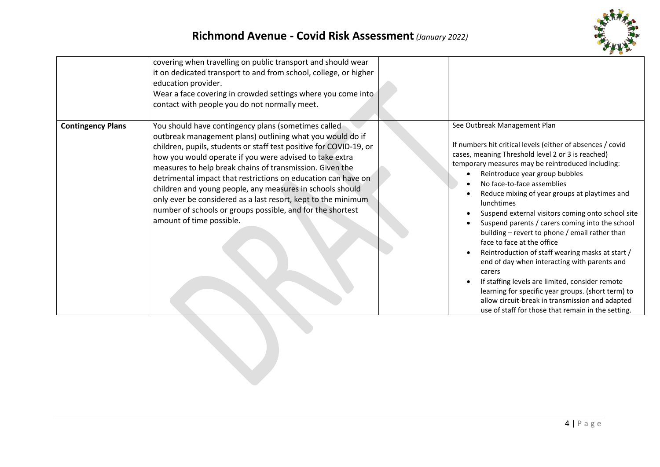

| <b>Contingency Plans</b> | covering when travelling on public transport and should wear<br>it on dedicated transport to and from school, college, or higher<br>education provider.<br>Wear a face covering in crowded settings where you come into<br>contact with people you do not normally meet.<br>You should have contingency plans (sometimes called                                                                                                                                                                                                                 | See Outbreak Management Plan                                                                                                                                                                                                                                                                                                                                                                                                                                                                                                                                                                                                                                                                                                                                                                                                |
|--------------------------|-------------------------------------------------------------------------------------------------------------------------------------------------------------------------------------------------------------------------------------------------------------------------------------------------------------------------------------------------------------------------------------------------------------------------------------------------------------------------------------------------------------------------------------------------|-----------------------------------------------------------------------------------------------------------------------------------------------------------------------------------------------------------------------------------------------------------------------------------------------------------------------------------------------------------------------------------------------------------------------------------------------------------------------------------------------------------------------------------------------------------------------------------------------------------------------------------------------------------------------------------------------------------------------------------------------------------------------------------------------------------------------------|
|                          | outbreak management plans) outlining what you would do if<br>children, pupils, students or staff test positive for COVID-19, or<br>how you would operate if you were advised to take extra<br>measures to help break chains of transmission. Given the<br>detrimental impact that restrictions on education can have on<br>children and young people, any measures in schools should<br>only ever be considered as a last resort, kept to the minimum<br>number of schools or groups possible, and for the shortest<br>amount of time possible. | If numbers hit critical levels (either of absences / covid<br>cases, meaning Threshold level 2 or 3 is reached)<br>temporary measures may be reintroduced including:<br>Reintroduce year group bubbles<br>No face-to-face assemblies<br>Reduce mixing of year groups at playtimes and<br>lunchtimes<br>Suspend external visitors coming onto school site<br>Suspend parents / carers coming into the school<br>building - revert to phone / email rather than<br>face to face at the office<br>Reintroduction of staff wearing masks at start /<br>end of day when interacting with parents and<br>carers<br>If staffing levels are limited, consider remote<br>learning for specific year groups. (short term) to<br>allow circuit-break in transmission and adapted<br>use of staff for those that remain in the setting. |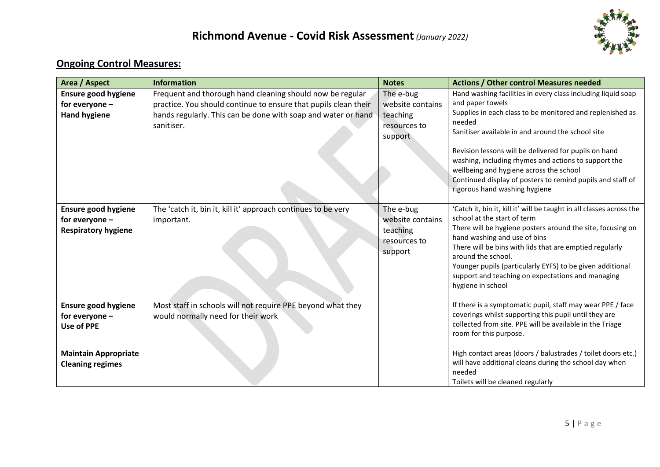

# **Ongoing Control Measures:**

| Area / Aspect                                                         | <b>Information</b>                                                                                                                                                                                          | <b>Notes</b>                                                         | <b>Actions / Other control Measures needed</b>                                                                                                                                                                                                                                                                                                                                                                                                                          |
|-----------------------------------------------------------------------|-------------------------------------------------------------------------------------------------------------------------------------------------------------------------------------------------------------|----------------------------------------------------------------------|-------------------------------------------------------------------------------------------------------------------------------------------------------------------------------------------------------------------------------------------------------------------------------------------------------------------------------------------------------------------------------------------------------------------------------------------------------------------------|
| <b>Ensure good hygiene</b><br>for everyone -<br><b>Hand hygiene</b>   | Frequent and thorough hand cleaning should now be regular<br>practice. You should continue to ensure that pupils clean their<br>hands regularly. This can be done with soap and water or hand<br>sanitiser. | The e-bug<br>website contains<br>teaching<br>resources to<br>support | Hand washing facilities in every class including liquid soap<br>and paper towels<br>Supplies in each class to be monitored and replenished as<br>needed<br>Sanitiser available in and around the school site<br>Revision lessons will be delivered for pupils on hand<br>washing, including rhymes and actions to support the<br>wellbeing and hygiene across the school<br>Continued display of posters to remind pupils and staff of<br>rigorous hand washing hygiene |
| Ensure good hygiene<br>for everyone $-$<br><b>Respiratory hygiene</b> | The 'catch it, bin it, kill it' approach continues to be very<br>important.                                                                                                                                 | The e-bug<br>website contains<br>teaching<br>resources to<br>support | 'Catch it, bin it, kill it' will be taught in all classes across the<br>school at the start of term<br>There will be hygiene posters around the site, focusing on<br>hand washing and use of bins<br>There will be bins with lids that are emptied regularly<br>around the school.<br>Younger pupils (particularly EYFS) to be given additional<br>support and teaching on expectations and managing<br>hygiene in school                                               |
| <b>Ensure good hygiene</b><br>for everyone -<br><b>Use of PPE</b>     | Most staff in schools will not require PPE beyond what they<br>would normally need for their work                                                                                                           |                                                                      | If there is a symptomatic pupil, staff may wear PPE / face<br>coverings whilst supporting this pupil until they are<br>collected from site. PPE will be available in the Triage<br>room for this purpose.                                                                                                                                                                                                                                                               |
| <b>Maintain Appropriate</b><br><b>Cleaning regimes</b>                |                                                                                                                                                                                                             |                                                                      | High contact areas (doors / balustrades / toilet doors etc.)<br>will have additional cleans during the school day when<br>needed<br>Toilets will be cleaned regularly                                                                                                                                                                                                                                                                                                   |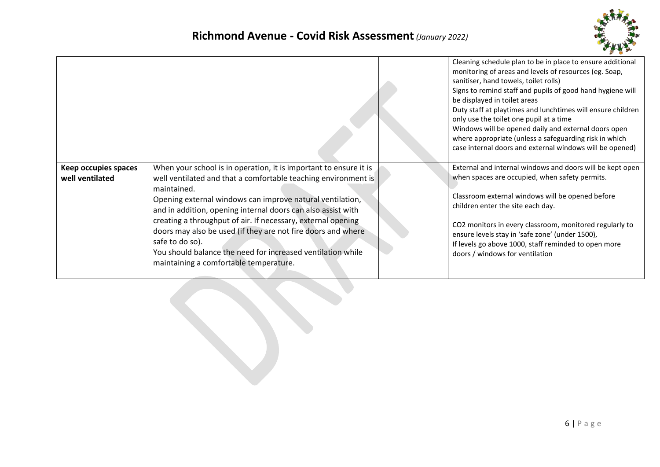

|                                         |                                                                                                                                                                                                                                                                                                                                                                                                                                                                                                                                             | Cleaning schedule plan to be in place to ensure additional<br>monitoring of areas and levels of resources (eg. Soap,<br>sanitiser, hand towels, toilet rolls)<br>Signs to remind staff and pupils of good hand hygiene will<br>be displayed in toilet areas<br>Duty staff at playtimes and lunchtimes will ensure children<br>only use the toilet one pupil at a time<br>Windows will be opened daily and external doors open<br>where appropriate (unless a safeguarding risk in which<br>case internal doors and external windows will be opened) |
|-----------------------------------------|---------------------------------------------------------------------------------------------------------------------------------------------------------------------------------------------------------------------------------------------------------------------------------------------------------------------------------------------------------------------------------------------------------------------------------------------------------------------------------------------------------------------------------------------|-----------------------------------------------------------------------------------------------------------------------------------------------------------------------------------------------------------------------------------------------------------------------------------------------------------------------------------------------------------------------------------------------------------------------------------------------------------------------------------------------------------------------------------------------------|
| Keep occupies spaces<br>well ventilated | When your school is in operation, it is important to ensure it is<br>well ventilated and that a comfortable teaching environment is<br>maintained.<br>Opening external windows can improve natural ventilation,<br>and in addition, opening internal doors can also assist with<br>creating a throughput of air. If necessary, external opening<br>doors may also be used (if they are not fire doors and where<br>safe to do so).<br>You should balance the need for increased ventilation while<br>maintaining a comfortable temperature. | External and internal windows and doors will be kept open<br>when spaces are occupied, when safety permits.<br>Classroom external windows will be opened before<br>children enter the site each day.<br>CO2 monitors in every classroom, monitored regularly to<br>ensure levels stay in 'safe zone' (under 1500),<br>If levels go above 1000, staff reminded to open more<br>doors / windows for ventilation                                                                                                                                       |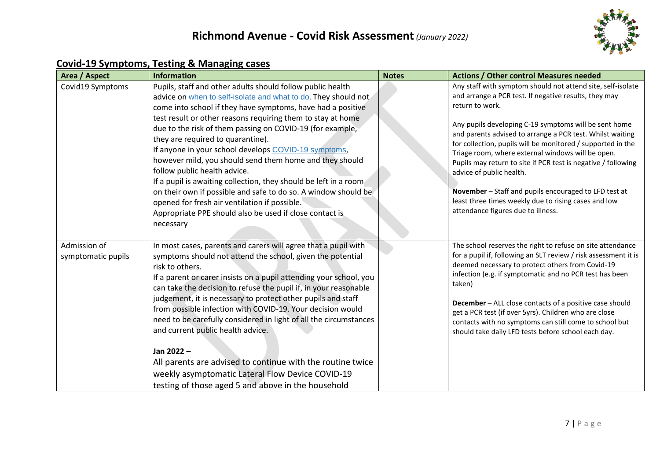

### **Covid-19 Symptoms, Testing & Managing cases**

| Area / Aspect                      | <b>Information</b>                                                                                                                                                                                                                                                                                                                                                                                                                                                                                                                                                                                                                                                                                                                                                             | <b>Notes</b> | <b>Actions / Other control Measures needed</b>                                                                                                                                                                                                                                                                                                                                                                                                                                                                                                                                                                                        |
|------------------------------------|--------------------------------------------------------------------------------------------------------------------------------------------------------------------------------------------------------------------------------------------------------------------------------------------------------------------------------------------------------------------------------------------------------------------------------------------------------------------------------------------------------------------------------------------------------------------------------------------------------------------------------------------------------------------------------------------------------------------------------------------------------------------------------|--------------|---------------------------------------------------------------------------------------------------------------------------------------------------------------------------------------------------------------------------------------------------------------------------------------------------------------------------------------------------------------------------------------------------------------------------------------------------------------------------------------------------------------------------------------------------------------------------------------------------------------------------------------|
| Covid19 Symptoms                   | Pupils, staff and other adults should follow public health<br>advice on when to self-isolate and what to do. They should not<br>come into school if they have symptoms, have had a positive<br>test result or other reasons requiring them to stay at home<br>due to the risk of them passing on COVID-19 (for example,<br>they are required to quarantine).<br>If anyone in your school develops COVID-19 symptoms,<br>however mild, you should send them home and they should<br>follow public health advice.<br>If a pupil is awaiting collection, they should be left in a room<br>on their own if possible and safe to do so. A window should be<br>opened for fresh air ventilation if possible.<br>Appropriate PPE should also be used if close contact is<br>necessary |              | Any staff with symptom should not attend site, self-isolate<br>and arrange a PCR test. If negative results, they may<br>return to work.<br>Any pupils developing C-19 symptoms will be sent home<br>and parents advised to arrange a PCR test. Whilst waiting<br>for collection, pupils will be monitored / supported in the<br>Triage room, where external windows will be open.<br>Pupils may return to site if PCR test is negative / following<br>advice of public health.<br>November - Staff and pupils encouraged to LFD test at<br>least three times weekly due to rising cases and low<br>attendance figures due to illness. |
| Admission of<br>symptomatic pupils | In most cases, parents and carers will agree that a pupil with<br>symptoms should not attend the school, given the potential<br>risk to others.<br>If a parent or carer insists on a pupil attending your school, you<br>can take the decision to refuse the pupil if, in your reasonable<br>judgement, it is necessary to protect other pupils and staff<br>from possible infection with COVID-19. Your decision would<br>need to be carefully considered in light of all the circumstances<br>and current public health advice.<br>Jan 2022-<br>All parents are advised to continue with the routine twice<br>weekly asymptomatic Lateral Flow Device COVID-19<br>testing of those aged 5 and above in the household                                                         |              | The school reserves the right to refuse on site attendance<br>for a pupil if, following an SLT review / risk assessment it is<br>deemed necessary to protect others from Covid-19<br>infection (e.g. if symptomatic and no PCR test has been<br>taken)<br>December - ALL close contacts of a positive case should<br>get a PCR test (if over 5yrs). Children who are close<br>contacts with no symptoms can still come to school but<br>should take daily LFD tests before school each day.                                                                                                                                           |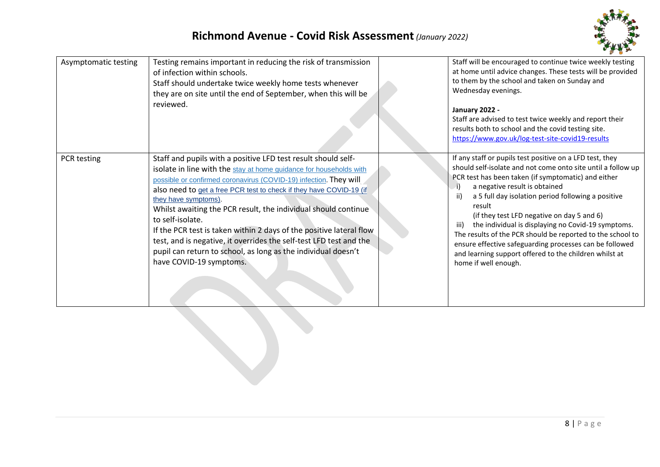

| Asymptomatic testing | Testing remains important in reducing the risk of transmission<br>of infection within schools.<br>Staff should undertake twice weekly home tests whenever<br>they are on site until the end of September, when this will be<br>reviewed.                                                                                                                                                                                                                                                                                                                                                                                               | Staff will be encouraged to continue twice weekly testing<br>at home until advice changes. These tests will be provided<br>to them by the school and taken on Sunday and<br>Wednesday evenings.<br>January 2022 -<br>Staff are advised to test twice weekly and report their<br>results both to school and the covid testing site.<br>https://www.gov.uk/log-test-site-covid19-results                                                                                                                                                                                                                         |
|----------------------|----------------------------------------------------------------------------------------------------------------------------------------------------------------------------------------------------------------------------------------------------------------------------------------------------------------------------------------------------------------------------------------------------------------------------------------------------------------------------------------------------------------------------------------------------------------------------------------------------------------------------------------|----------------------------------------------------------------------------------------------------------------------------------------------------------------------------------------------------------------------------------------------------------------------------------------------------------------------------------------------------------------------------------------------------------------------------------------------------------------------------------------------------------------------------------------------------------------------------------------------------------------|
| PCR testing          | Staff and pupils with a positive LFD test result should self-<br>isolate in line with the stay at home guidance for households with<br>possible or confirmed coronavirus (COVID-19) infection. They will<br>also need to get a free PCR test to check if they have COVID-19 (if<br>they have symptoms).<br>Whilst awaiting the PCR result, the individual should continue<br>to self-isolate.<br>If the PCR test is taken within 2 days of the positive lateral flow<br>test, and is negative, it overrides the self-test LFD test and the<br>pupil can return to school, as long as the individual doesn't<br>have COVID-19 symptoms. | If any staff or pupils test positive on a LFD test, they<br>should self-isolate and not come onto site until a follow up<br>PCR test has been taken (if symptomatic) and either<br>a negative result is obtained<br>a 5 full day isolation period following a positive<br>ii)<br>result<br>(if they test LFD negative on day 5 and 6)<br>the individual is displaying no Covid-19 symptoms.<br>iii)<br>The results of the PCR should be reported to the school to<br>ensure effective safeguarding processes can be followed<br>and learning support offered to the children whilst at<br>home if well enough. |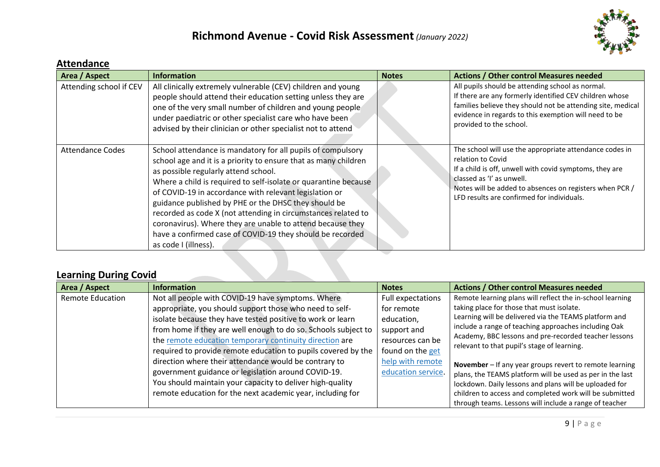# **Richmond Avenue - Covid Risk Assessment***(January 2022)*



### **Attendance**

| Area / Aspect           | <b>Information</b>                                                                                                                                                                                                                                                                                                                                                                                                                                                                                                                                                              | <b>Notes</b> | <b>Actions / Other control Measures needed</b>                                                                                                                                                                                                                                |
|-------------------------|---------------------------------------------------------------------------------------------------------------------------------------------------------------------------------------------------------------------------------------------------------------------------------------------------------------------------------------------------------------------------------------------------------------------------------------------------------------------------------------------------------------------------------------------------------------------------------|--------------|-------------------------------------------------------------------------------------------------------------------------------------------------------------------------------------------------------------------------------------------------------------------------------|
| Attending school if CEV | All clinically extremely vulnerable (CEV) children and young<br>people should attend their education setting unless they are<br>one of the very small number of children and young people<br>under paediatric or other specialist care who have been<br>advised by their clinician or other specialist not to attend                                                                                                                                                                                                                                                            |              | All pupils should be attending school as normal.<br>If there are any formerly identified CEV children whose<br>families believe they should not be attending site, medical<br>evidence in regards to this exemption will need to be<br>provided to the school.                |
| <b>Attendance Codes</b> | School attendance is mandatory for all pupils of compulsory<br>school age and it is a priority to ensure that as many children<br>as possible regularly attend school.<br>Where a child is required to self-isolate or quarantine because<br>of COVID-19 in accordance with relevant legislation or<br>guidance published by PHE or the DHSC they should be<br>recorded as code X (not attending in circumstances related to<br>coronavirus). Where they are unable to attend because they<br>have a confirmed case of COVID-19 they should be recorded<br>as code I (illness). |              | The school will use the appropriate attendance codes in<br>relation to Covid<br>If a child is off, unwell with covid symptoms, they are<br>classed as 'I' as unwell.<br>Notes will be added to absences on registers when PCR /<br>LFD results are confirmed for individuals. |

# **Learning During Covid**

| Area / Aspect           | <b>Information</b>                                             | <b>Notes</b>       | <b>Actions / Other control Measures needed</b>                                                       |
|-------------------------|----------------------------------------------------------------|--------------------|------------------------------------------------------------------------------------------------------|
| <b>Remote Education</b> | Not all people with COVID-19 have symptoms. Where              | Full expectations  | Remote learning plans will reflect the in-school learning                                            |
|                         | appropriate, you should support those who need to self-        | for remote         | taking place for those that must isolate.                                                            |
|                         | isolate because they have tested positive to work or learn     | education,         | Learning will be delivered via the TEAMS platform and                                                |
|                         | from home if they are well enough to do so. Schools subject to | support and        | include a range of teaching approaches including Oak                                                 |
|                         | the remote education temporary continuity direction are        | resources can be   | Academy, BBC lessons and pre-recorded teacher lessons<br>relevant to that pupil's stage of learning. |
|                         | required to provide remote education to pupils covered by the  | found on the get   |                                                                                                      |
|                         | direction where their attendance would be contrary to          | help with remote   | November - If any year groups revert to remote learning                                              |
|                         | government guidance or legislation around COVID-19.            | education service. | plans, the TEAMS platform will be used as per in the last                                            |
|                         | You should maintain your capacity to deliver high-quality      |                    | lockdown. Daily lessons and plans will be uploaded for                                               |
|                         | remote education for the next academic year, including for     |                    | children to access and completed work will be submitted                                              |
|                         |                                                                |                    | through teams. Lessons will include a range of teacher                                               |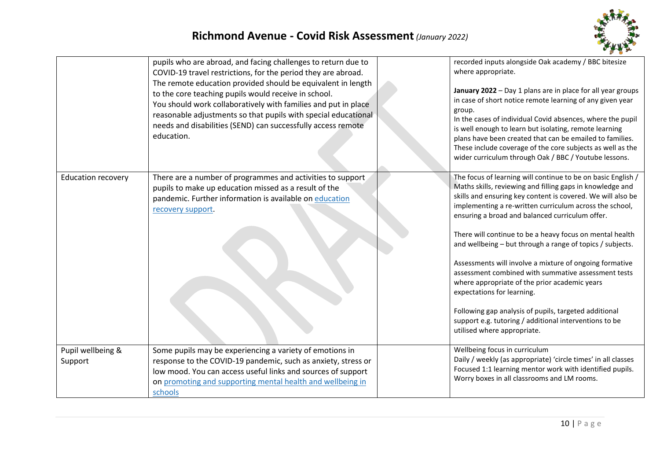

|                              | pupils who are abroad, and facing challenges to return due to<br>COVID-19 travel restrictions, for the period they are abroad.<br>The remote education provided should be equivalent in length<br>to the core teaching pupils would receive in school.<br>You should work collaboratively with families and put in place<br>reasonable adjustments so that pupils with special educational<br>needs and disabilities (SEND) can successfully access remote<br>education. | recorded inputs alongside Oak academy / BBC bitesize<br>where appropriate.<br>January 2022 - Day 1 plans are in place for all year groups<br>in case of short notice remote learning of any given year<br>group.<br>In the cases of individual Covid absences, where the pupil<br>is well enough to learn but isolating, remote learning<br>plans have been created that can be emailed to families.<br>These include coverage of the core subjects as well as the<br>wider curriculum through Oak / BBC / Youtube lessons.                                                                                                                                                                                                                                                        |
|------------------------------|--------------------------------------------------------------------------------------------------------------------------------------------------------------------------------------------------------------------------------------------------------------------------------------------------------------------------------------------------------------------------------------------------------------------------------------------------------------------------|------------------------------------------------------------------------------------------------------------------------------------------------------------------------------------------------------------------------------------------------------------------------------------------------------------------------------------------------------------------------------------------------------------------------------------------------------------------------------------------------------------------------------------------------------------------------------------------------------------------------------------------------------------------------------------------------------------------------------------------------------------------------------------|
| <b>Education recovery</b>    | There are a number of programmes and activities to support<br>pupils to make up education missed as a result of the<br>pandemic. Further information is available on education<br>recovery support.                                                                                                                                                                                                                                                                      | The focus of learning will continue to be on basic English /<br>Maths skills, reviewing and filling gaps in knowledge and<br>skills and ensuring key content is covered. We will also be<br>implementing a re-written curriculum across the school,<br>ensuring a broad and balanced curriculum offer.<br>There will continue to be a heavy focus on mental health<br>and wellbeing - but through a range of topics / subjects.<br>Assessments will involve a mixture of ongoing formative<br>assessment combined with summative assessment tests<br>where appropriate of the prior academic years<br>expectations for learning.<br>Following gap analysis of pupils, targeted additional<br>support e.g. tutoring / additional interventions to be<br>utilised where appropriate. |
| Pupil wellbeing &<br>Support | Some pupils may be experiencing a variety of emotions in<br>response to the COVID-19 pandemic, such as anxiety, stress or<br>low mood. You can access useful links and sources of support<br>on promoting and supporting mental health and wellbeing in<br>schools                                                                                                                                                                                                       | Wellbeing focus in curriculum<br>Daily / weekly (as appropriate) 'circle times' in all classes<br>Focused 1:1 learning mentor work with identified pupils.<br>Worry boxes in all classrooms and LM rooms.                                                                                                                                                                                                                                                                                                                                                                                                                                                                                                                                                                          |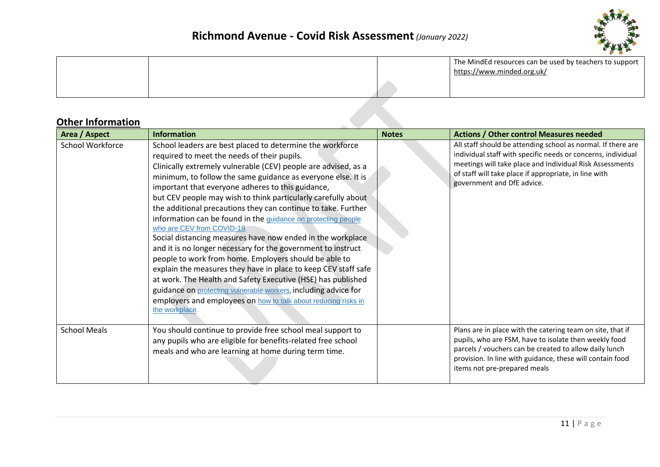

|  | The MindEd resources can be used by teachers to support  <br>https://www.minded.org.uk/ |
|--|-----------------------------------------------------------------------------------------|
|  |                                                                                         |

#### **Other Information**

| Area / Aspect       | <b>Information</b>                                                                                                                                                                                                                                                                                                                                                                                                                                                                                                                                                                                                                                                                                                                                                                                                                                                                                                                                                                                               | <b>Notes</b> | <b>Actions / Other control Measures needed</b>                                                                                                                                                                                                                                  |
|---------------------|------------------------------------------------------------------------------------------------------------------------------------------------------------------------------------------------------------------------------------------------------------------------------------------------------------------------------------------------------------------------------------------------------------------------------------------------------------------------------------------------------------------------------------------------------------------------------------------------------------------------------------------------------------------------------------------------------------------------------------------------------------------------------------------------------------------------------------------------------------------------------------------------------------------------------------------------------------------------------------------------------------------|--------------|---------------------------------------------------------------------------------------------------------------------------------------------------------------------------------------------------------------------------------------------------------------------------------|
| School Workforce    | School leaders are best placed to determine the workforce<br>required to meet the needs of their pupils.<br>Clinically extremely vulnerable (CEV) people are advised, as a<br>minimum, to follow the same guidance as everyone else. It is<br>important that everyone adheres to this guidance,<br>but CEV people may wish to think particularly carefully about<br>the additional precautions they can continue to take. Further<br>information can be found in the guidance on protecting people<br>who are CEV from COVID-19.<br>Social distancing measures have now ended in the workplace<br>and it is no longer necessary for the government to instruct<br>people to work from home. Employers should be able to<br>explain the measures they have in place to keep CEV staff safe<br>at work. The Health and Safety Executive (HSE) has published<br>guidance on protecting vulnerable workers, including advice for<br>employers and employees on how to talk about reducing risks in<br>the workplace. |              | All staff should be attending school as normal. If there are<br>individual staff with specific needs or concerns, individual<br>meetings will take place and Individual Risk Assessments<br>of staff will take place if appropriate, in line with<br>government and DfE advice. |
| <b>School Meals</b> | You should continue to provide free school meal support to<br>any pupils who are eligible for benefits-related free school<br>meals and who are learning at home during term time.                                                                                                                                                                                                                                                                                                                                                                                                                                                                                                                                                                                                                                                                                                                                                                                                                               |              | Plans are in place with the catering team on site, that if<br>pupils, who are FSM, have to isolate then weekly food<br>parcels / vouchers can be created to allow daily lunch<br>provision. In line with guidance, these will contain food<br>items not pre-prepared meals      |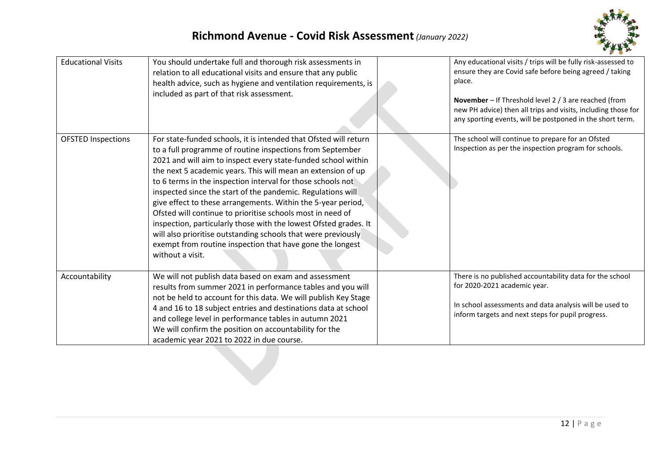# **Richmond Avenue - Covid Risk Assessment***(January 2022)*



| <b>Educational Visits</b> | You should undertake full and thorough risk assessments in<br>relation to all educational visits and ensure that any public<br>health advice, such as hygiene and ventilation requirements, is<br>included as part of that risk assessment.                                                                                                                                                                                                                                                                                                                                                                                                                                                                                                      | Any educational visits / trips will be fully risk-assessed to<br>ensure they are Covid safe before being agreed / taking<br>place.<br>November - If Threshold level 2 / 3 are reached (from<br>new PH advice) then all trips and visits, including those for<br>any sporting events, will be postponed in the short term. |
|---------------------------|--------------------------------------------------------------------------------------------------------------------------------------------------------------------------------------------------------------------------------------------------------------------------------------------------------------------------------------------------------------------------------------------------------------------------------------------------------------------------------------------------------------------------------------------------------------------------------------------------------------------------------------------------------------------------------------------------------------------------------------------------|---------------------------------------------------------------------------------------------------------------------------------------------------------------------------------------------------------------------------------------------------------------------------------------------------------------------------|
| <b>OFSTED Inspections</b> | For state-funded schools, it is intended that Ofsted will return<br>to a full programme of routine inspections from September<br>2021 and will aim to inspect every state-funded school within<br>the next 5 academic years. This will mean an extension of up<br>to 6 terms in the inspection interval for those schools not<br>inspected since the start of the pandemic. Regulations will<br>give effect to these arrangements. Within the 5-year period,<br>Ofsted will continue to prioritise schools most in need of<br>inspection, particularly those with the lowest Ofsted grades. It<br>will also prioritise outstanding schools that were previously<br>exempt from routine inspection that have gone the longest<br>without a visit. | The school will continue to prepare for an Ofsted<br>Inspection as per the inspection program for schools.                                                                                                                                                                                                                |
| Accountability            | We will not publish data based on exam and assessment<br>results from summer 2021 in performance tables and you will<br>not be held to account for this data. We will publish Key Stage<br>4 and 16 to 18 subject entries and destinations data at school<br>and college level in performance tables in autumn 2021<br>We will confirm the position on accountability for the<br>academic year 2021 to 2022 in due course.                                                                                                                                                                                                                                                                                                                       | There is no published accountability data for the school<br>for 2020-2021 academic year.<br>In school assessments and data analysis will be used to<br>inform targets and next steps for pupil progress.                                                                                                                  |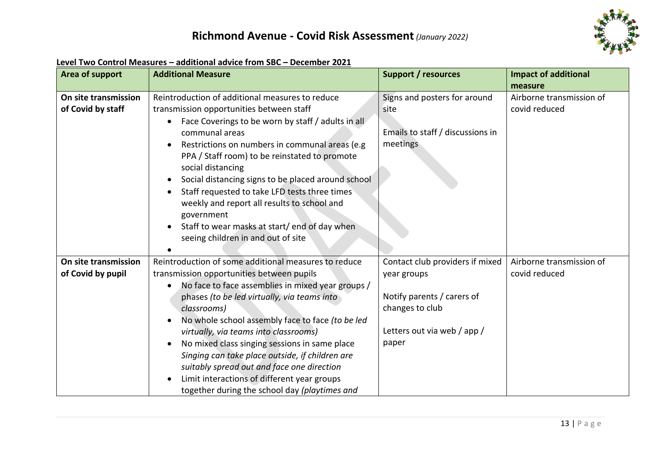

| Area of support                           | <b>Additional Measure</b>                                                                                                                                                                                                                                                                                                                                                                                                                                                                                                                                            | <b>Support / resources</b>                                                           | <b>Impact of additional</b>               |
|-------------------------------------------|----------------------------------------------------------------------------------------------------------------------------------------------------------------------------------------------------------------------------------------------------------------------------------------------------------------------------------------------------------------------------------------------------------------------------------------------------------------------------------------------------------------------------------------------------------------------|--------------------------------------------------------------------------------------|-------------------------------------------|
|                                           |                                                                                                                                                                                                                                                                                                                                                                                                                                                                                                                                                                      |                                                                                      | measure                                   |
| On site transmission<br>of Covid by staff | Reintroduction of additional measures to reduce<br>transmission opportunities between staff<br>Face Coverings to be worn by staff / adults in all<br>communal areas<br>Restrictions on numbers in communal areas (e.g.<br>PPA / Staff room) to be reinstated to promote<br>social distancing<br>Social distancing signs to be placed around school<br>Staff requested to take LFD tests three times<br>weekly and report all results to school and<br>government<br>Staff to wear masks at start/ end of day when<br>$\bullet$<br>seeing children in and out of site | Signs and posters for around<br>site<br>Emails to staff / discussions in<br>meetings | Airborne transmission of<br>covid reduced |
| On site transmission                      | Reintroduction of some additional measures to reduce                                                                                                                                                                                                                                                                                                                                                                                                                                                                                                                 | Contact club providers if mixed                                                      | Airborne transmission of                  |
| of Covid by pupil                         | transmission opportunities between pupils                                                                                                                                                                                                                                                                                                                                                                                                                                                                                                                            | year groups                                                                          | covid reduced                             |
|                                           | No face to face assemblies in mixed year groups /                                                                                                                                                                                                                                                                                                                                                                                                                                                                                                                    |                                                                                      |                                           |
|                                           | phases (to be led virtually, via teams into                                                                                                                                                                                                                                                                                                                                                                                                                                                                                                                          | Notify parents / carers of                                                           |                                           |
|                                           | classrooms)                                                                                                                                                                                                                                                                                                                                                                                                                                                                                                                                                          | changes to club                                                                      |                                           |
|                                           | No whole school assembly face to face (to be led                                                                                                                                                                                                                                                                                                                                                                                                                                                                                                                     |                                                                                      |                                           |
|                                           | virtually, via teams into classrooms)                                                                                                                                                                                                                                                                                                                                                                                                                                                                                                                                | Letters out via web / app /                                                          |                                           |
|                                           | No mixed class singing sessions in same place<br>$\bullet$                                                                                                                                                                                                                                                                                                                                                                                                                                                                                                           | paper                                                                                |                                           |
|                                           | Singing can take place outside, if children are                                                                                                                                                                                                                                                                                                                                                                                                                                                                                                                      |                                                                                      |                                           |
|                                           | suitably spread out and face one direction                                                                                                                                                                                                                                                                                                                                                                                                                                                                                                                           |                                                                                      |                                           |
|                                           | Limit interactions of different year groups                                                                                                                                                                                                                                                                                                                                                                                                                                                                                                                          |                                                                                      |                                           |
|                                           | together during the school day (playtimes and                                                                                                                                                                                                                                                                                                                                                                                                                                                                                                                        |                                                                                      |                                           |

#### **Level Two Control Measures – additional advice from SBC – December 2021**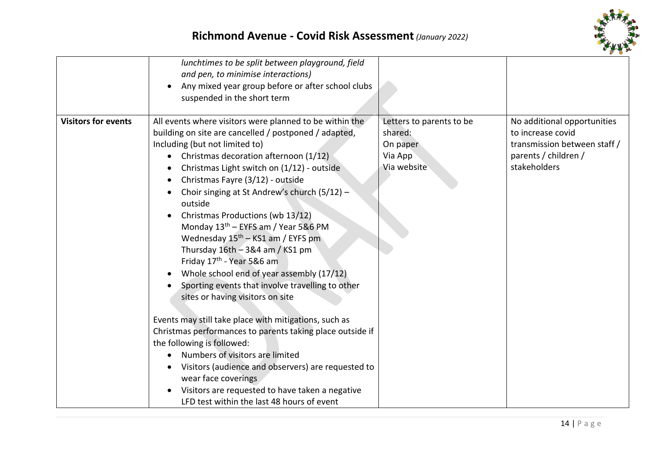

| lunchtimes to be split between playground, field<br>and pen, to minimise interactions)<br>Any mixed year group before or after school clubs<br>suspended in the short term<br><b>Visitors for events</b><br>All events where visitors were planned to be within the<br>Letters to parents to be<br>No additional opportunities<br>building on site are cancelled / postponed / adapted,<br>shared:<br>to increase covid<br>Including (but not limited to)<br>transmission between staff /<br>On paper<br>parents / children /<br>Christmas decoration afternoon (1/12)<br>Via App<br>stakeholders<br>Via website<br>Christmas Light switch on (1/12) - outside<br>Christmas Fayre (3/12) - outside<br>Choir singing at St Andrew's church (5/12) -<br>outside<br>Christmas Productions (wb 13/12)<br>Monday 13 <sup>th</sup> – EYFS am / Year 5&6 PM<br>Wednesday 15 <sup>th</sup> - KS1 am / EYFS pm<br>Thursday $16th - 384$ am / KS1 pm<br>Friday 17 <sup>th</sup> - Year 5&6 am<br>Whole school end of year assembly (17/12)<br>Sporting events that involve travelling to other<br>sites or having visitors on site<br>Events may still take place with mitigations, such as<br>Christmas performances to parents taking place outside if<br>the following is followed:<br>Numbers of visitors are limited<br>Visitors (audience and observers) are requested to<br>wear face coverings<br>Visitors are requested to have taken a negative<br>LFD test within the last 48 hours of event |  |  |
|-----------------------------------------------------------------------------------------------------------------------------------------------------------------------------------------------------------------------------------------------------------------------------------------------------------------------------------------------------------------------------------------------------------------------------------------------------------------------------------------------------------------------------------------------------------------------------------------------------------------------------------------------------------------------------------------------------------------------------------------------------------------------------------------------------------------------------------------------------------------------------------------------------------------------------------------------------------------------------------------------------------------------------------------------------------------------------------------------------------------------------------------------------------------------------------------------------------------------------------------------------------------------------------------------------------------------------------------------------------------------------------------------------------------------------------------------------------------------------------------------|--|--|
|                                                                                                                                                                                                                                                                                                                                                                                                                                                                                                                                                                                                                                                                                                                                                                                                                                                                                                                                                                                                                                                                                                                                                                                                                                                                                                                                                                                                                                                                                               |  |  |
|                                                                                                                                                                                                                                                                                                                                                                                                                                                                                                                                                                                                                                                                                                                                                                                                                                                                                                                                                                                                                                                                                                                                                                                                                                                                                                                                                                                                                                                                                               |  |  |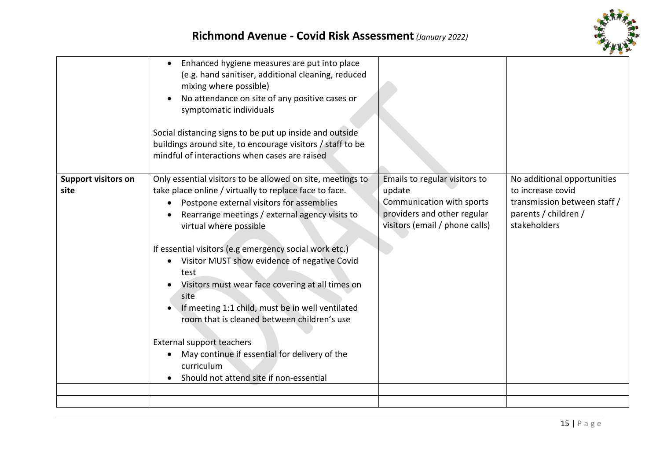



|                                    | Enhanced hygiene measures are put into place<br>$\bullet$<br>(e.g. hand sanitiser, additional cleaning, reduced<br>mixing where possible)<br>No attendance on site of any positive cases or<br>symptomatic individuals<br>Social distancing signs to be put up inside and outside<br>buildings around site, to encourage visitors / staff to be<br>mindful of interactions when cases are raised                                                                                                                                                                                                                                                                                                       |                                                                                                                                       |                                                                                                                          |
|------------------------------------|--------------------------------------------------------------------------------------------------------------------------------------------------------------------------------------------------------------------------------------------------------------------------------------------------------------------------------------------------------------------------------------------------------------------------------------------------------------------------------------------------------------------------------------------------------------------------------------------------------------------------------------------------------------------------------------------------------|---------------------------------------------------------------------------------------------------------------------------------------|--------------------------------------------------------------------------------------------------------------------------|
| <b>Support visitors on</b><br>site | Only essential visitors to be allowed on site, meetings to<br>take place online / virtually to replace face to face.<br>Postpone external visitors for assemblies<br>Rearrange meetings / external agency visits to<br>virtual where possible<br>If essential visitors (e.g emergency social work etc.)<br>Visitor MUST show evidence of negative Covid<br>$\bullet$<br>test<br>Visitors must wear face covering at all times on<br>site<br>If meeting 1:1 child, must be in well ventilated<br>room that is cleaned between children's use<br><b>External support teachers</b><br>May continue if essential for delivery of the<br>$\bullet$<br>curriculum<br>Should not attend site if non-essential | Emails to regular visitors to<br>update<br>Communication with sports<br>providers and other regular<br>visitors (email / phone calls) | No additional opportunities<br>to increase covid<br>transmission between staff /<br>parents / children /<br>stakeholders |
|                                    |                                                                                                                                                                                                                                                                                                                                                                                                                                                                                                                                                                                                                                                                                                        |                                                                                                                                       |                                                                                                                          |